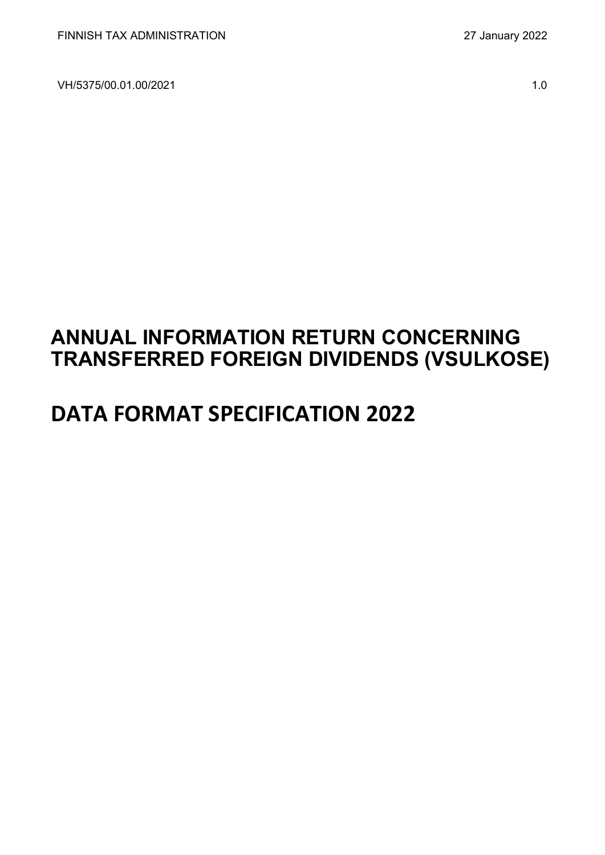VH/5375/00.01.00/2021 1.0

# **ANNUAL INFORMATION RETURN CONCERNING TRANSFERRED FOREIGN DIVIDENDS (VSULKOSE)**

# **DATA FORMAT SPECIFICATION 2022**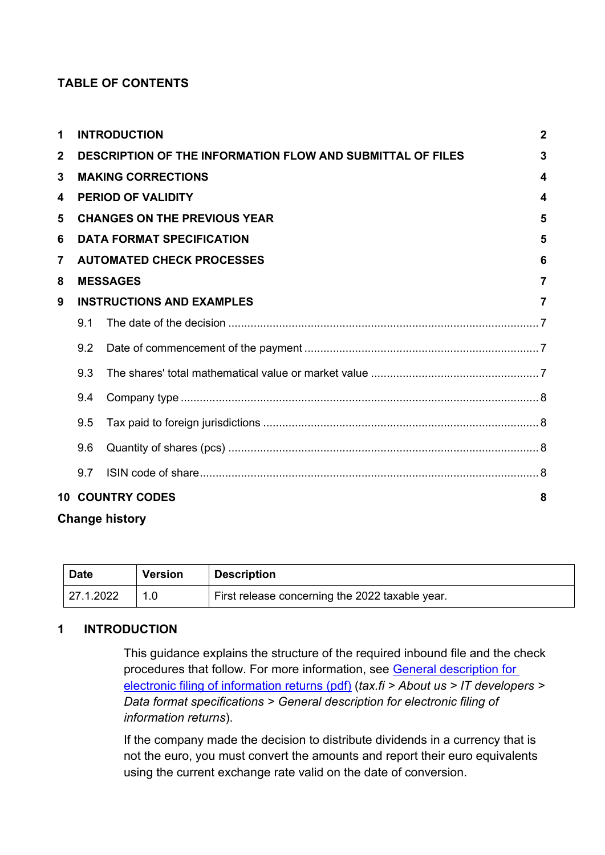# **TABLE OF CONTENTS**

| 1            |                                                                                   | <b>INTRODUCTION</b>                 | $\overline{2}$ |  |  |  |  |  |
|--------------|-----------------------------------------------------------------------------------|-------------------------------------|----------------|--|--|--|--|--|
| $\mathbf{2}$ | <b>DESCRIPTION OF THE INFORMATION FLOW AND SUBMITTAL OF FILES</b><br>$\mathbf{3}$ |                                     |                |  |  |  |  |  |
| 3            | <b>MAKING CORRECTIONS</b><br>4                                                    |                                     |                |  |  |  |  |  |
| 4            | <b>PERIOD OF VALIDITY</b><br>4                                                    |                                     |                |  |  |  |  |  |
| 5            |                                                                                   | <b>CHANGES ON THE PREVIOUS YEAR</b> | 5              |  |  |  |  |  |
| 6            |                                                                                   | <b>DATA FORMAT SPECIFICATION</b>    | 5              |  |  |  |  |  |
| 7            |                                                                                   | <b>AUTOMATED CHECK PROCESSES</b>    | 6              |  |  |  |  |  |
| 8            |                                                                                   | <b>MESSAGES</b>                     | $\overline{7}$ |  |  |  |  |  |
| 9            |                                                                                   | <b>INSTRUCTIONS AND EXAMPLES</b>    | $\overline{7}$ |  |  |  |  |  |
|              | 9.1                                                                               |                                     |                |  |  |  |  |  |
|              | 9.2                                                                               |                                     |                |  |  |  |  |  |
|              | 9.3                                                                               |                                     |                |  |  |  |  |  |
|              | 9.4                                                                               |                                     |                |  |  |  |  |  |
|              | 9.5                                                                               |                                     |                |  |  |  |  |  |
|              | 9.6                                                                               |                                     |                |  |  |  |  |  |
|              | 9.7                                                                               |                                     |                |  |  |  |  |  |
| 10           |                                                                                   | <b>COUNTRY CODES</b>                | 8              |  |  |  |  |  |
|              |                                                                                   |                                     |                |  |  |  |  |  |

# **Change history**

| Date      | <b>Version</b> | <b>Description</b>                              |
|-----------|----------------|-------------------------------------------------|
| 27.1.2022 |                | First release concerning the 2022 taxable year. |

# <span id="page-1-0"></span>**1 INTRODUCTION**

This guidance explains the structure of the required inbound file and the check procedures that follow. For more information, see [General description for](https://www.vero.fi/globalassets/tietoa-verohallinnosta/ohjelmistokehittajille/finnish-tax-administration_electronic-filing-of-information-returns-general-description.pdf)  [electronic filing of information returns \(pdf\)](https://www.vero.fi/globalassets/tietoa-verohallinnosta/ohjelmistokehittajille/finnish-tax-administration_electronic-filing-of-information-returns-general-description.pdf) (*tax.fi > About us > IT developers > Data format specifications > General description for electronic filing of information returns*).

If the company made the decision to distribute dividends in a currency that is not the euro, you must convert the amounts and report their euro equivalents using the current exchange rate valid on the date of conversion.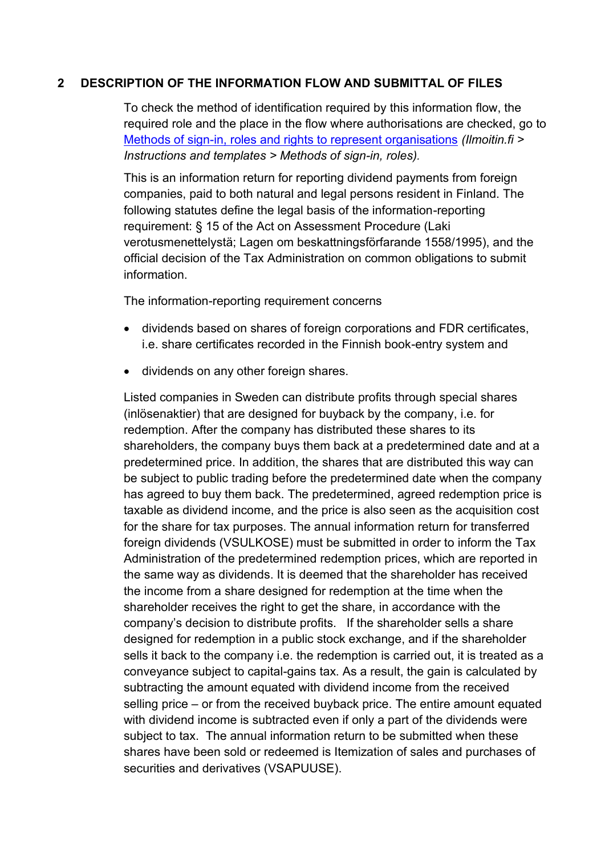#### <span id="page-2-0"></span>**2 DESCRIPTION OF THE INFORMATION FLOW AND SUBMITTAL OF FILES**

To check the method of identification required by this information flow, the required role and the place in the flow where authorisations are checked, go to [Methods of sign-in, roles and rights to represent organisations](https://www.ilmoitin.fi/webtamo/sivut/IlmoituslajiRoolit?kieli=en&tv=VSULKOSE) *[\(Ilmoitin.fi >](https://www.ilmoitin.fi/webtamo/sivut/IlmoituslajiRoolit?kieli=en)  [Instructions and templates > Methods of sign-in, roles\)](https://www.ilmoitin.fi/webtamo/sivut/IlmoituslajiRoolit?kieli=en).*

This is an information return for reporting dividend payments from foreign companies, paid to both natural and legal persons resident in Finland. The following statutes define the legal basis of the information-reporting requirement: § 15 of the Act on Assessment Procedure (Laki verotusmenettelystä; Lagen om beskattningsförfarande 1558/1995), and the official decision of the Tax Administration on common obligations to submit information.

The information-reporting requirement concerns

- dividends based on shares of foreign corporations and FDR certificates, i.e. share certificates recorded in the Finnish book-entry system and
- dividends on any other foreign shares.

Listed companies in Sweden can distribute profits through special shares (inlösenaktier) that are designed for buyback by the company, i.e. for redemption. After the company has distributed these shares to its shareholders, the company buys them back at a predetermined date and at a predetermined price. In addition, the shares that are distributed this way can be subject to public trading before the predetermined date when the company has agreed to buy them back. The predetermined, agreed redemption price is taxable as dividend income, and the price is also seen as the acquisition cost for the share for tax purposes. The annual information return for transferred foreign dividends (VSULKOSE) must be submitted in order to inform the Tax Administration of the predetermined redemption prices, which are reported in the same way as dividends. It is deemed that the shareholder has received the income from a share designed for redemption at the time when the shareholder receives the right to get the share, in accordance with the company's decision to distribute profits. If the shareholder sells a share designed for redemption in a public stock exchange, and if the shareholder sells it back to the company i.e. the redemption is carried out, it is treated as a conveyance subject to capital-gains tax. As a result, the gain is calculated by subtracting the amount equated with dividend income from the received selling price – or from the received buyback price. The entire amount equated with dividend income is subtracted even if only a part of the dividends were subject to tax. The annual information return to be submitted when these shares have been sold or redeemed is Itemization of sales and purchases of securities and derivatives (VSAPUUSE).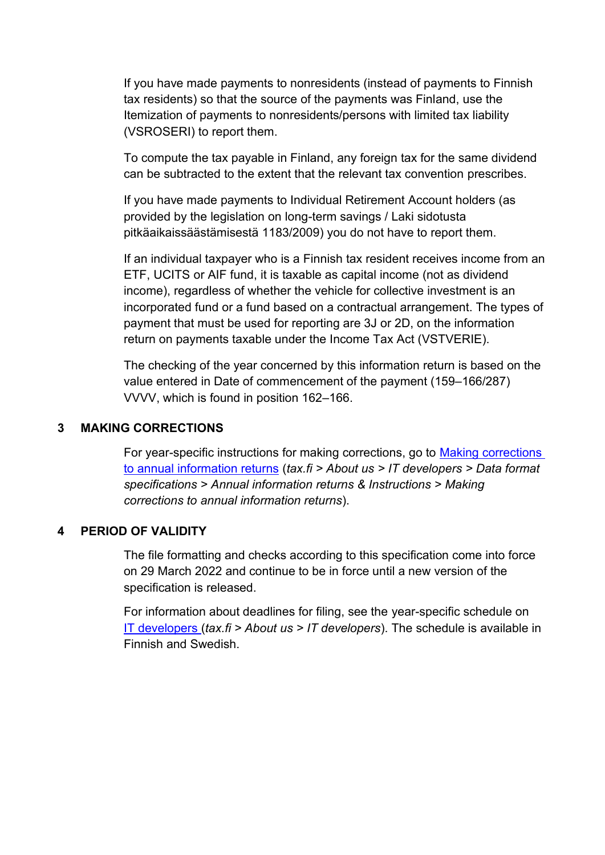If you have made payments to nonresidents (instead of payments to Finnish tax residents) so that the source of the payments was Finland, use the Itemization of payments to nonresidents/persons with limited tax liability (VSROSERI) to report them.

To compute the tax payable in Finland, any foreign tax for the same dividend can be subtracted to the extent that the relevant tax convention prescribes.

If you have made payments to Individual Retirement Account holders (as provided by the legislation on long-term savings / Laki sidotusta pitkäaikaissäästämisestä 1183/2009) you do not have to report them.

If an individual taxpayer who is a Finnish tax resident receives income from an ETF, UCITS or AIF fund, it is taxable as capital income (not as dividend income), regardless of whether the vehicle for collective investment is an incorporated fund or a fund based on a contractual arrangement. The types of payment that must be used for reporting are 3J or 2D, on the information return on payments taxable under the Income Tax Act (VSTVERIE).

The checking of the year concerned by this information return is based on the value entered in Date of commencement of the payment (159–166/287) VVVV, which is found in position 162–166.

# <span id="page-3-0"></span>**3 MAKING CORRECTIONS**

For year-specific instructions for making corrections, go to [Making corrections](https://www.vero.fi/en/About-us/it_developer/data-format-specifications/annual_information_returns__instruction/making-corrections-to-annual-information-returns/)  [to annual information returns](https://www.vero.fi/en/About-us/it_developer/data-format-specifications/annual_information_returns__instruction/making-corrections-to-annual-information-returns/) (*tax.fi > About us > IT developers > Data format specifications > Annual information returns & Instructions > Making corrections to annual information returns*).

#### <span id="page-3-1"></span>**4 PERIOD OF VALIDITY**

The file formatting and checks according to this specification come into force on 29 March 2022 and continue to be in force until a new version of the specification is released.

For information about deadlines for filing, see the year-specific schedule on IT [developers \(](https://www.vero.fi/tietoa-verohallinnosta/kehittaja/)*tax.fi > About us > IT developers*). The schedule is available in Finnish and Swedish.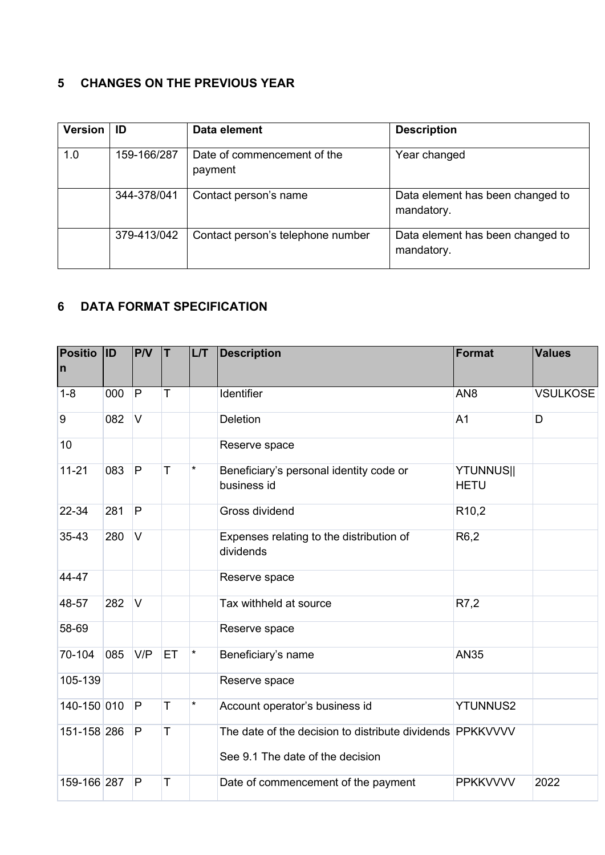# <span id="page-4-0"></span>**5 CHANGES ON THE PREVIOUS YEAR**

| <b>Version</b> | ID          | Data element                           | <b>Description</b>                             |
|----------------|-------------|----------------------------------------|------------------------------------------------|
| 1.0            | 159-166/287 | Date of commencement of the<br>payment | Year changed                                   |
|                | 344-378/041 | Contact person's name                  | Data element has been changed to<br>mandatory. |
|                | 379-413/042 | Contact person's telephone number      | Data element has been changed to<br>mandatory. |

# <span id="page-4-1"></span>**6 DATA FORMAT SPECIFICATION**

| <b>Positio</b><br>n | <b>ID</b> | PVV          | T  | LT      | <b>Description</b>                                                                            | Format                          | <b>Values</b>   |
|---------------------|-----------|--------------|----|---------|-----------------------------------------------------------------------------------------------|---------------------------------|-----------------|
| $1 - 8$             | 000       | P            | Τ  |         | Identifier                                                                                    | AN <sub>8</sub>                 | <b>VSULKOSE</b> |
| 9                   | 082       | V            |    |         | Deletion                                                                                      | A <sub>1</sub>                  | D               |
| 10                  |           |              |    |         | Reserve space                                                                                 |                                 |                 |
| $11 - 21$           | 083       | P            | T  | $\star$ | Beneficiary's personal identity code or<br>business id                                        | <b>YTUNNUS  </b><br><b>HETU</b> |                 |
| 22-34               | 281       | $\mathsf{P}$ |    |         | Gross dividend                                                                                | R <sub>10</sub> ,2              |                 |
| 35-43               | 280       | V            |    |         | Expenses relating to the distribution of<br>dividends                                         | R <sub>6</sub> ,2               |                 |
| 44-47               |           |              |    |         | Reserve space                                                                                 |                                 |                 |
| 48-57               | 282       | IV.          |    |         | Tax withheld at source                                                                        | R7,2                            |                 |
| 58-69               |           |              |    |         | Reserve space                                                                                 |                                 |                 |
| 70-104              | 085       | V/P          | ET | $\star$ | Beneficiary's name                                                                            | <b>AN35</b>                     |                 |
| 105-139             |           |              |    |         | Reserve space                                                                                 |                                 |                 |
| 140-150 010         |           | P            | T  | $\star$ | Account operator's business id                                                                | <b>YTUNNUS2</b>                 |                 |
| 151-158 286         |           | P            | T  |         | The date of the decision to distribute dividends PPKKVVVV<br>See 9.1 The date of the decision |                                 |                 |
| 159-166 287         |           | $\mathsf{P}$ | T  |         | Date of commencement of the payment                                                           | <b>PPKKVVVV</b>                 | 2022            |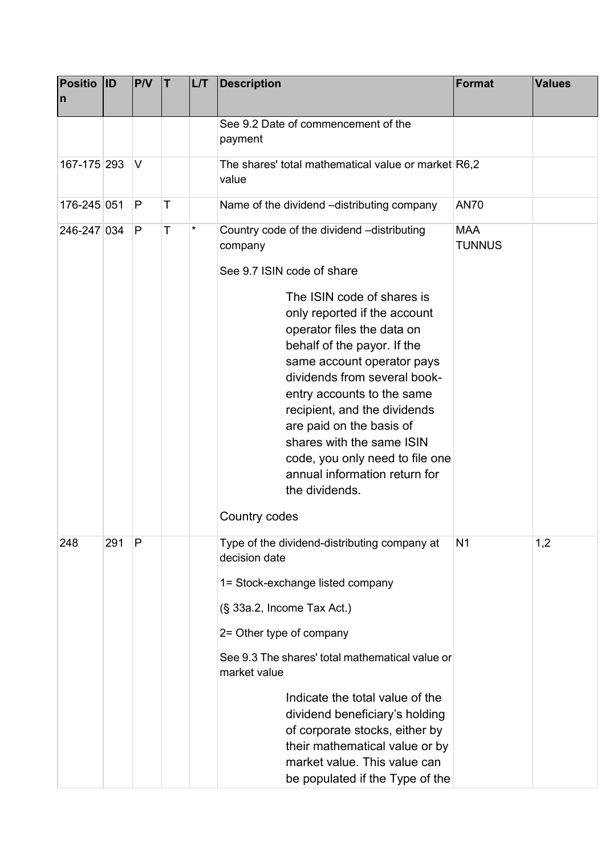| <b>Positio</b><br>$\mathsf{n}$ | <b>ID</b> | P/V | İΤ | LT       | <b>Description</b>                                                                                                                                                                                                                                                                                                                                                                                                                                                                                         | <b>Format</b>               | <b>Values</b> |
|--------------------------------|-----------|-----|----|----------|------------------------------------------------------------------------------------------------------------------------------------------------------------------------------------------------------------------------------------------------------------------------------------------------------------------------------------------------------------------------------------------------------------------------------------------------------------------------------------------------------------|-----------------------------|---------------|
|                                |           |     |    |          | See 9.2 Date of commencement of the<br>payment                                                                                                                                                                                                                                                                                                                                                                                                                                                             |                             |               |
| 167-175 293                    |           | V   |    |          | The shares' total mathematical value or market R6,2<br>value                                                                                                                                                                                                                                                                                                                                                                                                                                               |                             |               |
| 176-245 051                    |           | P   | T  |          | Name of the dividend -distributing company                                                                                                                                                                                                                                                                                                                                                                                                                                                                 | <b>AN70</b>                 |               |
| 246-247 034                    |           | P   | T  | $^\star$ | Country code of the dividend -distributing<br>company<br>See 9.7 ISIN code of share<br>The ISIN code of shares is<br>only reported if the account<br>operator files the data on<br>behalf of the payor. If the<br>same account operator pays<br>dividends from several book-<br>entry accounts to the same<br>recipient, and the dividends<br>are paid on the basis of<br>shares with the same ISIN<br>code, you only need to file one<br>annual information return for<br>the dividends.<br>Country codes | <b>MAA</b><br><b>TUNNUS</b> |               |
| 248                            | 291       | P   |    |          | Type of the dividend-distributing company at<br>decision date<br>1= Stock-exchange listed company<br>(§ 33a.2, Income Tax Act.)<br>2= Other type of company<br>See 9.3 The shares' total mathematical value or<br>market value<br>Indicate the total value of the<br>dividend beneficiary's holding<br>of corporate stocks, either by<br>their mathematical value or by<br>market value. This value can<br>be populated if the Type of the                                                                 | N <sub>1</sub>              | 1,2           |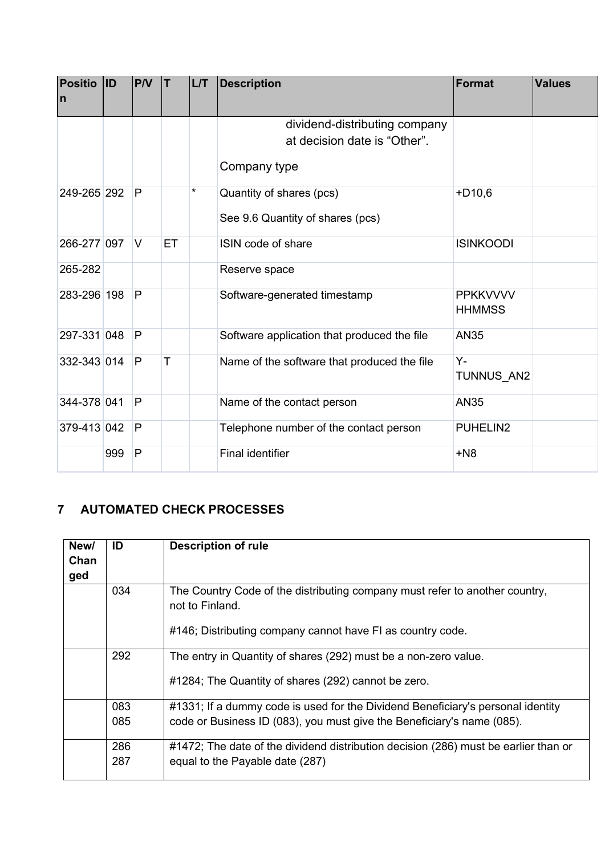| <b>Positio</b><br>In | ID  | PVV            | lΤ | L/T | <b>Description</b>                          | Format                           | <b>Values</b> |
|----------------------|-----|----------------|----|-----|---------------------------------------------|----------------------------------|---------------|
|                      |     |                |    |     | dividend-distributing company               |                                  |               |
|                      |     |                |    |     | at decision date is "Other".                |                                  |               |
|                      |     |                |    |     | Company type                                |                                  |               |
| 249-265 292          |     | P              |    | *   | Quantity of shares (pcs)                    | $+D10,6$                         |               |
|                      |     |                |    |     | See 9.6 Quantity of shares (pcs)            |                                  |               |
| 266-277 097          |     | IV.            | ET |     | ISIN code of share                          | <b>ISINKOODI</b>                 |               |
| 265-282              |     |                |    |     | Reserve space                               |                                  |               |
| 283-296 198          |     | $\overline{P}$ |    |     | Software-generated timestamp                | <b>PPKKVVVV</b><br><b>HHMMSS</b> |               |
| 297-331 048          |     | P              |    |     | Software application that produced the file | <b>AN35</b>                      |               |
| 332-343 014          |     | P              | T  |     | Name of the software that produced the file | Y-<br>TUNNUS AN2                 |               |
| 344-378 041          |     | P              |    |     | Name of the contact person                  | <b>AN35</b>                      |               |
| 379-413 042          |     | $\mathsf{P}$   |    |     | Telephone number of the contact person      | PUHELIN2                         |               |
|                      | 999 | P              |    |     | <b>Final identifier</b>                     | $+N8$                            |               |

# <span id="page-6-0"></span>**7 AUTOMATED CHECK PROCESSES**

| New/<br>Chan<br>ged | ID  | <b>Description of rule</b>                                                                                                                                   |
|---------------------|-----|--------------------------------------------------------------------------------------------------------------------------------------------------------------|
|                     | 034 | The Country Code of the distributing company must refer to another country,<br>not to Finland.<br>#146; Distributing company cannot have FI as country code. |
|                     | 292 | The entry in Quantity of shares (292) must be a non-zero value.<br>#1284; The Quantity of shares (292) cannot be zero.                                       |
|                     | 083 | #1331; If a dummy code is used for the Dividend Beneficiary's personal identity                                                                              |
|                     | 085 | code or Business ID (083), you must give the Beneficiary's name (085).                                                                                       |
|                     | 286 | #1472; The date of the dividend distribution decision (286) must be earlier than or                                                                          |
|                     | 287 | equal to the Payable date (287)                                                                                                                              |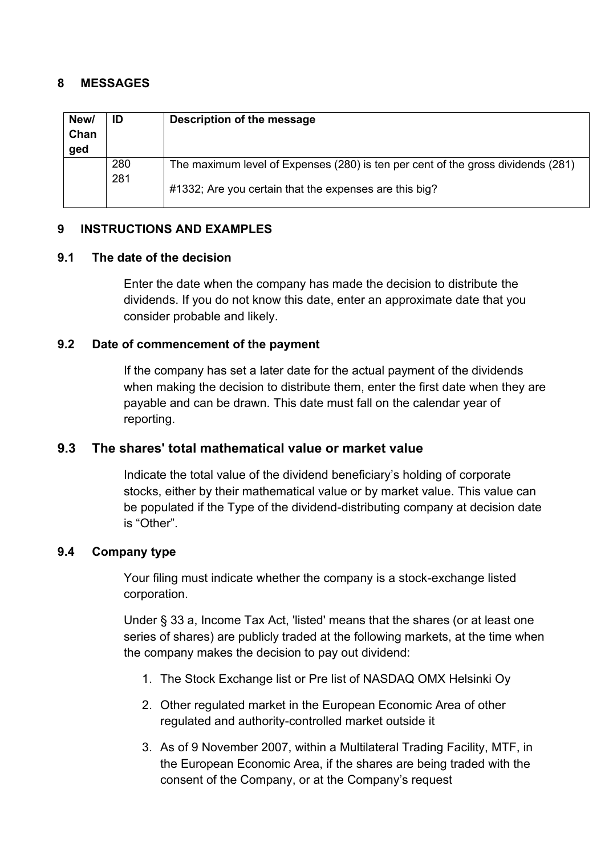#### <span id="page-7-0"></span>**8 MESSAGES**

| New/<br>Chan<br>ged | ID         | Description of the message                                                                                                                 |
|---------------------|------------|--------------------------------------------------------------------------------------------------------------------------------------------|
|                     | 280<br>281 | The maximum level of Expenses (280) is ten per cent of the gross dividends (281)<br>#1332; Are you certain that the expenses are this big? |

# <span id="page-7-1"></span>**9 INSTRUCTIONS AND EXAMPLES**

#### <span id="page-7-2"></span>**9.1 The date of the decision**

Enter the date when the company has made the decision to distribute the dividends. If you do not know this date, enter an approximate date that you consider probable and likely.

# <span id="page-7-3"></span>**9.2 Date of commencement of the payment**

If the company has set a later date for the actual payment of the dividends when making the decision to distribute them, enter the first date when they are payable and can be drawn. This date must fall on the calendar year of reporting.

# <span id="page-7-4"></span>**9.3 The shares' total mathematical value or market value**

Indicate the total value of the dividend beneficiary's holding of corporate stocks, either by their mathematical value or by market value. This value can be populated if the Type of the dividend-distributing company at decision date is "Other".

# <span id="page-7-5"></span>**9.4 Company type**

Your filing must indicate whether the company is a stock-exchange listed corporation.

Under § 33 a, Income Tax Act, 'listed' means that the shares (or at least one series of shares) are publicly traded at the following markets, at the time when the company makes the decision to pay out dividend:

- 1. The Stock Exchange list or Pre list of NASDAQ OMX Helsinki Oy
- 2. Other regulated market in the European Economic Area of other regulated and authority-controlled market outside it
- 3. As of 9 November 2007, within a Multilateral Trading Facility, MTF, in the European Economic Area, if the shares are being traded with the consent of the Company, or at the Company's request